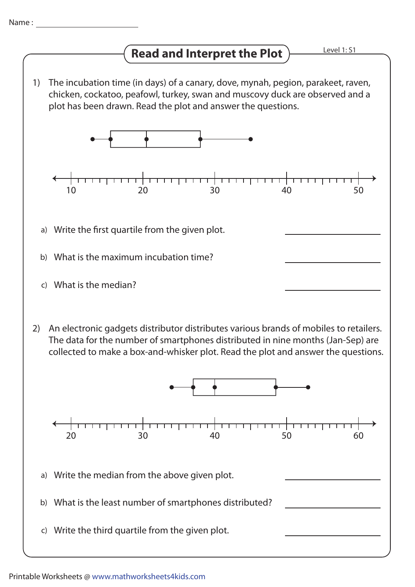## **Read and Interpret the Plot**

The incubation time (in days) of a canary, dove, mynah, pegion, parakeet, raven, 1) chicken, cockatoo, peafowl, turkey, swan and muscovy duck are observed and a plot has been drawn. Read the plot and answer the questions.